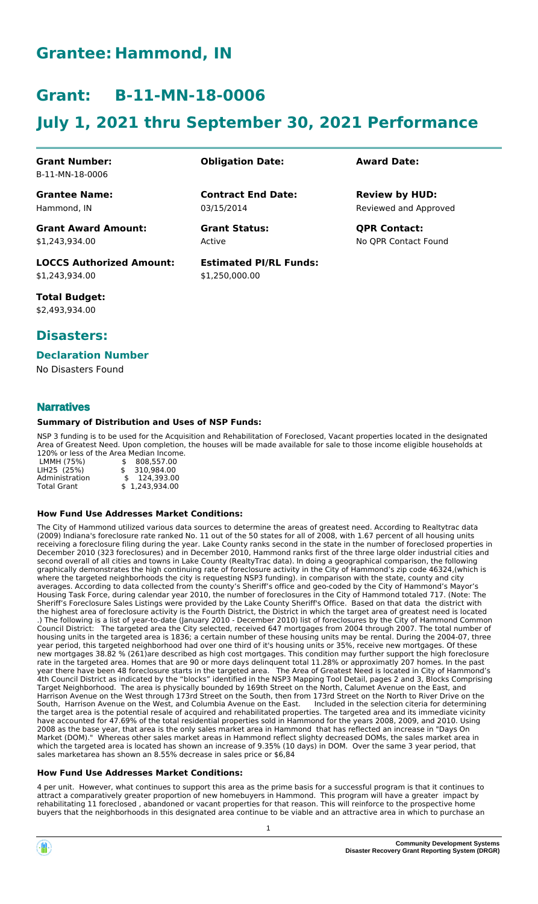## **Grantee: Hammond, IN**

# **Grant: B-11-MN-18-0006**

# **July 1, 2021 thru September 30, 2021 Performance**

**Contract End Date:**

**Estimated PI/RL Funds:**

\$1,250,000.00

03/15/2014

Active

#### **Grant Number:** B-11-MN-18-0006

**Grantee Name:** Hammond, IN

**Grant Award Amount:** \$1,243,934.00

**LOCCS Authorized Amount:** \$1,243,934.00

**Total Budget:** \$2,493,934.00

### **Disasters:**

#### **Declaration Number**

No Disasters Found

#### **Narratives**

#### **Summary of Distribution and Uses of NSP Funds:**

NSP 3 funding is to be used for the Acquisition and Rehabilitation of Foreclosed, Vacant properties located in the designated Area of Greatest Need. Upon completion, the houses will be made available for sale to those income eligible households at 120% or less of the Area Median Income.

|                    | 12070 01 1099 01 610 711 00 11001011 111001110 |
|--------------------|------------------------------------------------|
| LMMH (75%)         | \$ 808.557.00                                  |
| LIH25 (25%)        | \$ 310,984.00                                  |
| Administration     | \$124,393.00                                   |
| <b>Total Grant</b> | \$1,243,934.00                                 |
|                    |                                                |

#### **How Fund Use Addresses Market Conditions:**

The City of Hammond utilized various data sources to determine the areas of greatest need. According to Realtytrac data (2009) Indiana's foreclosure rate ranked No. 11 out of the 50 states for all of 2008, with 1.67 percent of all housing units receiving a foreclosure filing during the year. Lake County ranks second in the state in the number of foreclosed properties in December 2010 (323 foreclosures) and in December 2010, Hammond ranks first of the three large older industrial cities and second overall of all cities and towns in Lake County (RealtyTrac data). In doing a geographical comparison, the following graphically demonstrates the high continuing rate of foreclosure activity in the City of Hammond's zip code 46324,(which is where the targeted neighborhoods the city is requesting NSP3 funding). in comparison with the state, county and city averages. According to data collected from the county's Sheriff's office and geo-coded by the City of Hammond's Mayor's Housing Task Force, during calendar year 2010, the number of foreclosures in the City of Hammond totaled 717. (Note: The Sheriff's Foreclosure Sales Listings were provided by the Lake County Sheriff's Office. Based on that data the district with the highest area of foreclosure activity is the Fourth District, the District in which the target area of greatest need is located .) The following is a list of year-to-date (January 2010 - December 2010) list of foreclosures by the City of Hammond Common Council District: The targeted area the City selected, received 647 mortgages from 2004 through 2007. The total number of housing units in the targeted area is 1836; a certain number of these housing units may be rental. During the 2004-07, three year period, this targeted neighborhood had over one third of it's housing units or 35%, receive new mortgages. Of these new mortgages 38.82 % (261)are described as high cost mortgages. This condition may further support the high foreclosure rate in the targeted area. Homes that are 90 or more days delinquent total 11.28% or approximatly 207 homes. In the past year there have been 48 foreclosure starts in the targeted area. The Area of Greatest Need is located in City of Hammond's 4th Council District as indicated by the "blocks" identified in the NSP3 Mapping Tool Detail, pages 2 and 3, Blocks Comprising Target Neighborhood. The area is physically bounded by 169th Street on the North, Calumet Avenue on the East, and Harrison Avenue on the West through 173rd Street on the South, then from 173rd Street on the North to River Drive on the<br>South, Harrison Avenue on the West, and Columbia Avenue on the East. Included in the selection citeri South, Harrison Avenue on the West, and Columbia Avenue on the East. the target area is the potential resale of acquired and rehabilitated properties. The targeted area and its immediate vicinity have accounted for 47.69% of the total residential properties sold in Hammond for the years 2008, 2009, and 2010. Using 2008 as the base year, that area is the only sales market area in Hammond that has reflected an increase in "Days On Market (DOM)." Whereas other sales market areas in Hammond reflect slighty decreased DOMs, the sales market area in which the targeted area is located has shown an increase of 9.35% (10 days) in DOM. Over the same 3 year period, that sales marketarea has shown an 8.55% decrease in sales price or \$6,84

#### **How Fund Use Addresses Market Conditions:**

4 per unit. However, what continues to support this area as the prime basis for a successful program is that it continues to attract a comparatively greater proportion of new homebuyers in Hammond. This program will have a greater impact by rehabilitating 11 foreclosed , abandoned or vacant properties for that reason. This will reinforce to the prospective home buyers that the neighborhoods in this designated area continue to be viable and an attractive area in which to purchase an

# **Obligation Date: Award Date:**

Reviewed and Approved **Review by HUD:**

**Grant Status: QPR Contact:** No QPR Contact Found

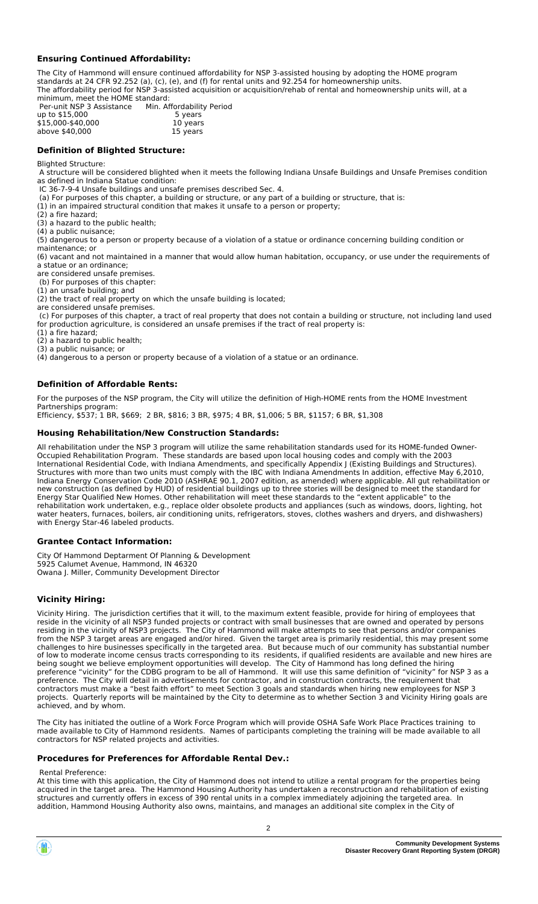#### **Ensuring Continued Affordability:**

The City of Hammond will ensure continued affordability for NSP 3-assisted housing by adopting the HOME program standards at 24 CFR 92.252 (a), (c), (e), and (f) for rental units and 92.254 for homeownership units. The affordability period for NSP 3-assisted acquisition or acquisition/rehab of rental and homeownership units will, at a minimum, meet the HOME standard:

 Per-unit NSP 3 Assistance Min. Affordability Period up to \$15,000 <br>
\$15,000 <br>
\$15,000 <br>
\$15,000 <br>
\$15,000 <br>
\$16,000 <br>
\$16,000 <br>  $\frac{10 \text{ years}}{10 \text{ years}}$ \$15,000-\$40,000 10 years above  $$40.000$ 

#### **Definition of Blighted Structure:**

#### Blighted Structure:

 A structure will be considered blighted when it meets the following Indiana Unsafe Buildings and Unsafe Premises condition as defined in Indiana Statue condition:

IC 36-7-9-4 Unsafe buildings and unsafe premises described Sec. 4.

(a) For purposes of this chapter, a building or structure, or any part of a building or structure, that is:

(1) in an impaired structural condition that makes it unsafe to a person or property;

(2) a fire hazard;

(3) a hazard to the public health;

(4) a public nuisance;

(5) dangerous to a person or property because of a violation of a statue or ordinance concerning building condition or maintenance; or

(6) vacant and not maintained in a manner that would allow human habitation, occupancy, or use under the requirements of a statue or an ordinance;

are considered unsafe premises. (b) For purposes of this chapter:

(1) an unsafe building; and

(2) the tract of real property on which the unsafe building is located;

are considered unsafe premises.

 (c) For purposes of this chapter, a tract of real property that does not contain a building or structure, not including land used for production agriculture, is considered an unsafe premises if the tract of real property is:

(1) a fire hazard;

(2) a hazard to public health;

(3) a public nuisance; or

(4) dangerous to a person or property because of a violation of a statue or an ordinance.

#### **Definition of Affordable Rents:**

For the purposes of the NSP program, the City will utilize the definition of High-HOME rents from the HOME Investment Partnerships program:

Efficiency, \$537; 1 BR, \$669; 2 BR, \$816; 3 BR, \$975; 4 BR, \$1,006; 5 BR, \$1157; 6 BR, \$1,308

#### **Housing Rehabilitation/New Construction Standards:**

All rehabilitation under the NSP 3 program will utilize the same rehabilitation standards used for its HOME-funded Owner-Occupied Rehabilitation Program. These standards are based upon local housing codes and comply with the 2003 International Residential Code, with Indiana Amendments, and specifically Appendix J (Existing Buildings and Structures). Structures with more than two units must comply with the IBC with Indiana Amendments In addition, effective May 6,2010, Indiana Energy Conservation Code 2010 (ASHRAE 90.1, 2007 edition, as amended) where applicable. All gut rehabilitation or new construction (as defined by HUD) of residential buildings up to three stories will be designed to meet the standard for Energy Star Qualified New Homes. Other rehabilitation will meet these standards to the "extent applicable" to the rehabilitation work undertaken, e.g., replace older obsolete products and appliances (such as windows, doors, lighting, hot water heaters, furnaces, boilers, air conditioning units, refrigerators, stoves, clothes washers and dryers, and dishwashers) with Energy Star-46 labeled products.

#### **Grantee Contact Information:**

City Of Hammond Deptarment Of Planning & Development 5925 Calumet Avenue, Hammond, IN 46320 Owana J. Miller, Community Development Director

#### **Vicinity Hiring:**

Vicinity Hiring. The jurisdiction certifies that it will, to the maximum extent feasible, provide for hiring of employees that reside in the vicinity of all NSP3 funded projects or contract with small businesses that are owned and operated by persons residing in the vicinity of NSP3 projects. The City of Hammond will make attempts to see that persons and/or companies from the NSP 3 target areas are engaged and/or hired. Given the target area is primarily residential, this may present some challenges to hire businesses specifically in the targeted area. But because much of our community has substantial number of low to moderate income census tracts corresponding to its residents, if qualified residents are available and new hires are being sought we believe employment opportunities will develop. The City of Hammond has long defined the hiring preference "vicinity" for the CDBG program to be all of Hammond. It will use this same definition of "vicinity" for NSP 3 as a preference. The City will detail in advertisements for contractor, and in construction contracts, the requirement that contractors must make a "best faith effort" to meet Section 3 goals and standards when hiring new employees for NSP 3 projects. Quarterly reports will be maintained by the City to determine as to whether Section 3 and Vicinity Hiring goals are achieved, and by whom.

The City has initiated the outline of a Work Force Program which will provide OSHA Safe Work Place Practices training to made available to City of Hammond residents. Names of participants completing the training will be made available to all contractors for NSP related projects and activities.

#### **Procedures for Preferences for Affordable Rental Dev.:**

Rental Preference:

At this time with this application, the City of Hammond does not intend to utilize a rental program for the properties being acquired in the target area. The Hammond Housing Authority has undertaken a reconstruction and rehabilitation of existing structures and currently offers in excess of 390 rental units in a complex immediately adjoining the targeted area. In addition, Hammond Housing Authority also owns, maintains, and manages an additional site complex in the City of

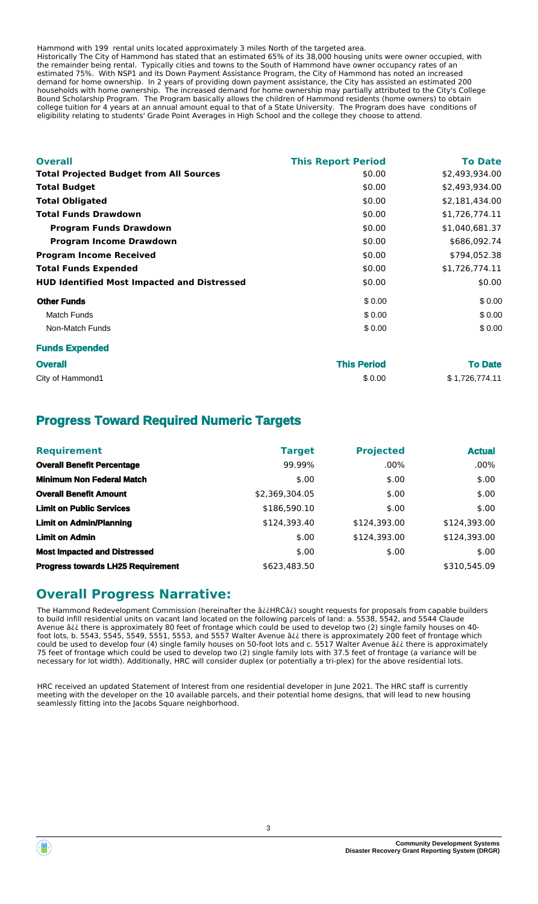Hammond with 199 rental units located approximately 3 miles North of the targeted area. Historically The City of Hammond has stated that an estimated 65% of its 38,000 housing units were owner occupied, with the remainder being rental. Typically cities and towns to the South of Hammond have owner occupancy rates of an estimated 75%. With NSP1 and its Down Payment Assistance Program, the City of Hammond has noted an increased demand for home ownership. In 2 years of providing down payment assistance, the City has assisted an estimated 200 households with home ownership. The increased demand for home ownership may partially attributed to the City's College

eligibility relating to students' Grade Point Averages in High School and the college they choose to attend.

Bound Scholarship Program. The Program basically allows the children of Hammond residents (home owners) to obtain college tuition for 4 years at an annual amount equal to that of a State University. The Program does have conditions of

| <b>Overall</b>                                     | <b>This Report Period</b> | <b>To Date</b> |
|----------------------------------------------------|---------------------------|----------------|
| <b>Total Projected Budget from All Sources</b>     | \$0.00                    | \$2,493,934.00 |
| <b>Total Budget</b>                                | \$0.00                    | \$2,493,934.00 |
| <b>Total Obligated</b>                             | \$0.00                    | \$2,181,434.00 |
| <b>Total Funds Drawdown</b>                        | \$0.00                    | \$1,726,774.11 |
| <b>Program Funds Drawdown</b>                      | \$0.00                    | \$1,040,681.37 |
| <b>Program Income Drawdown</b>                     | \$0.00                    | \$686,092.74   |
| <b>Program Income Received</b>                     | \$0.00                    | \$794,052.38   |
| <b>Total Funds Expended</b>                        | \$0.00                    | \$1,726,774.11 |
| <b>HUD Identified Most Impacted and Distressed</b> | \$0.00                    | \$0.00         |
| <b>Other Funds</b>                                 | \$0.00                    | \$0.00         |
| <b>Match Funds</b>                                 | \$0.00                    | \$0.00         |
| Non-Match Funds                                    | \$0.00                    | \$0.00         |
| <b>Funds Expended</b>                              |                           |                |
| <b>Overall</b>                                     | <b>This Period</b>        | To Date        |

City of Hammond1 **\$ 0.00** \$ 1,726,774.11

## **Progress Toward Required Numeric Targets**

| <b>Requirement</b>                       | <b>Target</b>  | <b>Projected</b> | <b>Actual</b> |
|------------------------------------------|----------------|------------------|---------------|
| <b>Overall Benefit Percentage</b>        | 99.99%         | $.00\%$          | $.00\%$       |
| <b>Minimum Non Federal Match</b>         | \$.00          | \$.00            | \$.00         |
| <b>Overall Benefit Amount</b>            | \$2,369,304.05 | \$.00            | \$.00         |
| <b>Limit on Public Services</b>          | \$186,590.10   | \$.00            | \$.00         |
| <b>Limit on Admin/Planning</b>           | \$124,393.40   | \$124,393.00     | \$124,393.00  |
| <b>Limit on Admin</b>                    | \$.00          | \$124,393.00     | \$124,393.00  |
| <b>Most Impacted and Distressed</b>      | \$.00          | \$.00            | \$.00         |
| <b>Progress towards LH25 Requirement</b> | \$623,483.50   |                  | \$310,545.09  |

## **Overall Progress Narrative:**

The Hammond Redevelopment Commission (hereinafter the â¿¿HRCâ¿) sought requests for proposals from capable builders to build infill residential units on vacant land located on the following parcels of land: a. 5538, 5542, and 5544 Claude Avenue â¿¿ there is approximately 80 feet of frontage which could be used to develop two (2) single family houses on 40 foot lots, b. 5543, 5545, 5549, 5551, 5553, and 5557 Walter Avenue â¿¿ there is approximately 200 feet of frontage which could be used to develop four (4) single family houses on 50-foot lots and c. 5517 Walter Avenue â¿¿ there is approximately 75 feet of frontage which could be used to develop two (2) single family lots with 37.5 feet of frontage (a variance will be necessary for lot width). Additionally, HRC will consider duplex (or potentially a tri-plex) for the above residential lots.

HRC received an updated Statement of Interest from one residential developer in June 2021. The HRC staff is currently meeting with the developer on the 10 available parcels, and their potential home designs, that will lead to new housing seamlessly fitting into the Jacobs Square neighborhood.